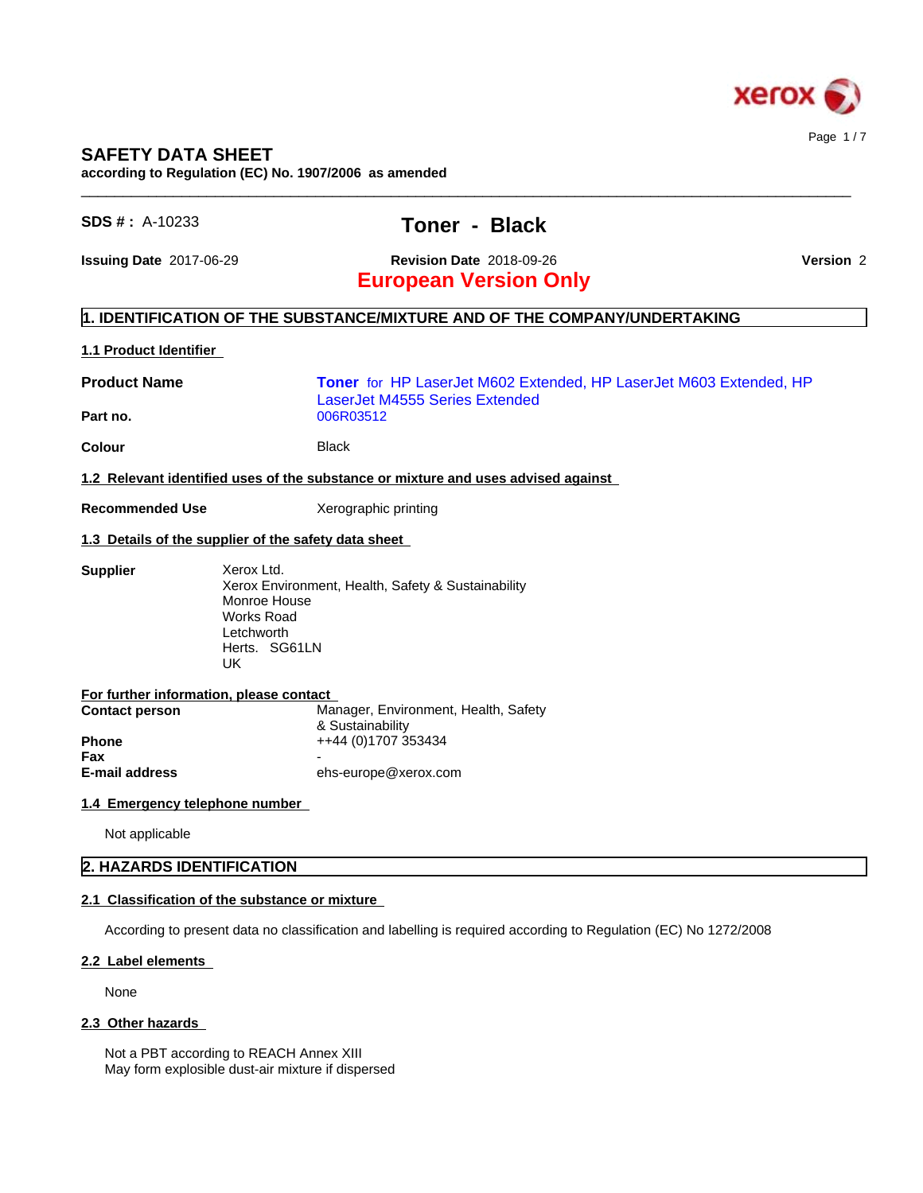

## **SAFETY DATA SHEET**

**according to Regulation (EC) No. 1907/2006 as amended**

## **SDS # :** A-10233 **Toner - Black**

 $\_$  ,  $\_$  ,  $\_$  ,  $\_$  ,  $\_$  ,  $\_$  ,  $\_$  ,  $\_$  ,  $\_$  ,  $\_$  ,  $\_$  ,  $\_$  ,  $\_$  ,  $\_$  ,  $\_$  ,  $\_$  ,  $\_$  ,  $\_$  ,  $\_$  ,  $\_$  ,  $\_$  ,  $\_$  ,  $\_$  ,  $\_$  ,  $\_$  ,  $\_$  ,  $\_$  ,  $\_$  ,  $\_$  ,  $\_$  ,  $\_$  ,  $\_$  ,  $\_$  ,  $\_$  ,  $\_$  ,  $\_$  ,  $\_$  ,

**European Version Only Issuing Date** 2017-06-29 **Revision Date** 2018-09-26 **Version** 2

# **1. IDENTIFICATION OF THE SUBSTANCE/MIXTURE AND OF THE COMPANY/UNDERTAKING**

### **1.1 Product Identifier**

| <b>Product Name</b><br>Part no.                                                   | <b>Toner</b> for HP LaserJet M602 Extended, HP LaserJet M603 Extended, HP<br>LaserJet M4555 Series Extended<br>006R03512 |  |  |  |  |  |
|-----------------------------------------------------------------------------------|--------------------------------------------------------------------------------------------------------------------------|--|--|--|--|--|
| Colour                                                                            | <b>Black</b>                                                                                                             |  |  |  |  |  |
| 1.2 Relevant identified uses of the substance or mixture and uses advised against |                                                                                                                          |  |  |  |  |  |

**Recommended Use** Xerographic printing

### **1.3 Details of the supplier of the safety data sheet**

| Supplier | Xerox Ltd.<br>Xerox Environment, Health, Safety & Sustainability<br>Monroe House<br>Works Road<br>Letchworth |
|----------|--------------------------------------------------------------------------------------------------------------|
|          | Herts. SG61LN<br>UK                                                                                          |

| For further information, please contact |                                      |
|-----------------------------------------|--------------------------------------|
| <b>Contact person</b>                   | Manager, Environment, Health, Safety |
|                                         | & Sustainability                     |
| <b>Phone</b>                            | ++44 (0)1707 353434                  |
| Fax                                     |                                      |
| <b>E-mail address</b>                   | ehs-europe@xerox.com                 |

### **1.4 Emergency telephone number**

Not applicable

### **2. HAZARDS IDENTIFICATION**

### **2.1 Classification of the substance or mixture**

According to present data no classification and labelling is required according to Regulation (EC) No 1272/2008

### **2.2 Label elements**

None

### 2.3 Other hazards

Not a PBT according to REACH Annex XIII May form explosible dust-air mixture if dispersed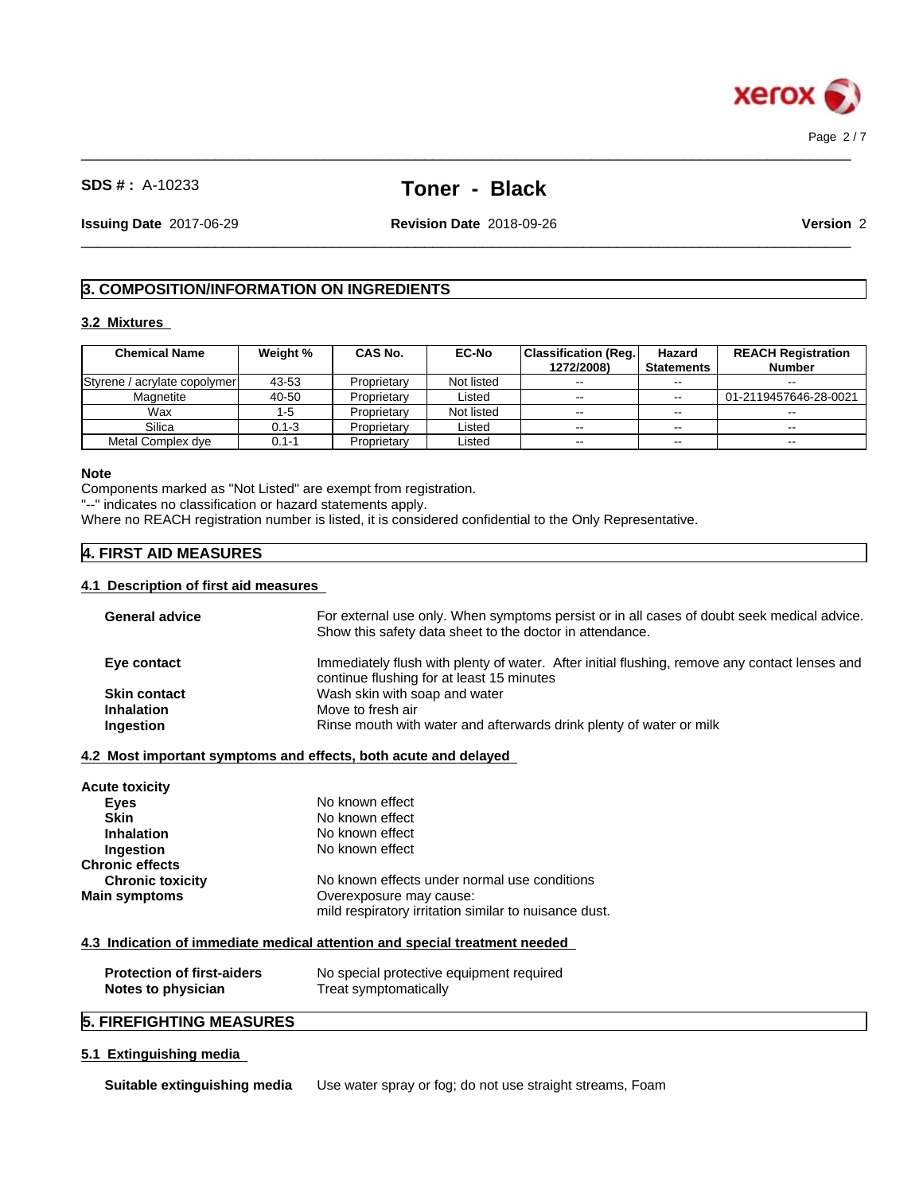

# **SDS # :** A-10233 **Toner - Black**

 $\_$  ,  $\_$  ,  $\_$  ,  $\_$  ,  $\_$  ,  $\_$  ,  $\_$  ,  $\_$  ,  $\_$  ,  $\_$  ,  $\_$  ,  $\_$  ,  $\_$  ,  $\_$  ,  $\_$  ,  $\_$  ,  $\_$  ,  $\_$  ,  $\_$  ,  $\_$  ,  $\_$  ,  $\_$  ,  $\_$  ,  $\_$  ,  $\_$  ,  $\_$  ,  $\_$  ,  $\_$  ,  $\_$  ,  $\_$  ,  $\_$  ,  $\_$  ,  $\_$  ,  $\_$  ,  $\_$  ,  $\_$  ,  $\_$  ,

 $\_$  ,  $\_$  ,  $\_$  ,  $\_$  ,  $\_$  ,  $\_$  ,  $\_$  ,  $\_$  ,  $\_$  ,  $\_$  ,  $\_$  ,  $\_$  ,  $\_$  ,  $\_$  ,  $\_$  ,  $\_$  ,  $\_$  ,  $\_$  ,  $\_$  ,  $\_$  ,  $\_$  ,  $\_$  ,  $\_$  ,  $\_$  ,  $\_$  ,  $\_$  ,  $\_$  ,  $\_$  ,  $\_$  ,  $\_$  ,  $\_$  ,  $\_$  ,  $\_$  ,  $\_$  ,  $\_$  ,  $\_$  ,  $\_$  , **Issuing Date** 2017-06-29 **Revision Date** 2018-09-26 **Version** 2

# **3. COMPOSITION/INFORMATION ON INGREDIENTS**

### **3.2 Mixtures**

| <b>Chemical Name</b>         | Weight %  | CAS No.     | <b>EC-No</b> | <b>Classification (Reg.)</b> | Hazard            | <b>REACH Registration</b> |
|------------------------------|-----------|-------------|--------------|------------------------------|-------------------|---------------------------|
|                              |           |             |              | 1272/2008)                   | <b>Statements</b> | <b>Number</b>             |
| Styrene / acrylate copolymer | 43-53     | Proprietary | Not listed   | $-$                          | $- -$             | $\sim$ $\sim$             |
| Magnetite                    | 40-50     | Proprietary | Listed       | $-$                          | $-1$              | 01-2119457646-28-0021     |
| Wax                          | 1-5       | Proprietary | Not listed   | $-$                          | --                | $\overline{\phantom{a}}$  |
| Silica                       | $0.1 - 3$ | Proprietary | Listed       | $\sim$ $\sim$                | $- -$             | $\sim$                    |
| Metal Complex dve            | $0.1 - 1$ | Proprietary | Listed       | $\sim$ $\sim$                | $- -$             | $\sim$                    |

### **Note**

Components marked as "Not Listed" are exempt from registration.

"--" indicates no classification or hazard statements apply.

Where no REACH registration number is listed, it is considered confidential to the Only Representative.

### **4. FIRST AID MEASURES**

### **4.1 Description of first aid measures**

| <b>General advice</b>             | For external use only. When symptoms persist or in all cases of doubt seek medical advice.<br>Show this safety data sheet to the doctor in attendance. |
|-----------------------------------|--------------------------------------------------------------------------------------------------------------------------------------------------------|
| Eye contact                       | Immediately flush with plenty of water. After initial flushing, remove any contact lenses and<br>continue flushing for at least 15 minutes             |
| <b>Skin contact</b>               | Wash skin with soap and water                                                                                                                          |
| <b>Inhalation</b>                 | Move to fresh air                                                                                                                                      |
| Ingestion                         | Rinse mouth with water and afterwards drink plenty of water or milk                                                                                    |
| Acute toxicity                    |                                                                                                                                                        |
| <b>Eyes</b>                       | No known effect                                                                                                                                        |
| <b>Skin</b>                       | No known effect                                                                                                                                        |
| <b>Inhalation</b>                 | No known effect                                                                                                                                        |
| Ingestion                         | No known effect                                                                                                                                        |
| Chronic effects                   |                                                                                                                                                        |
| <b>Chronic toxicity</b>           | No known effects under normal use conditions                                                                                                           |
| <b>Main symptoms</b>              | Overexposure may cause:                                                                                                                                |
|                                   | mild respiratory irritation similar to nuisance dust.                                                                                                  |
|                                   | 4.3 Indication of immediate medical attention and special treatment needed                                                                             |
| <b>Protection of first-aiders</b> | No special protective equipment required                                                                                                               |

# **Notes to physician** Treat symptomatically

## **5. FIREFIGHTING MEASURES**

### **5.1 Extinguishing media**

**Suitable extinguishing media** Use water spray or fog; do not use straight streams, Foam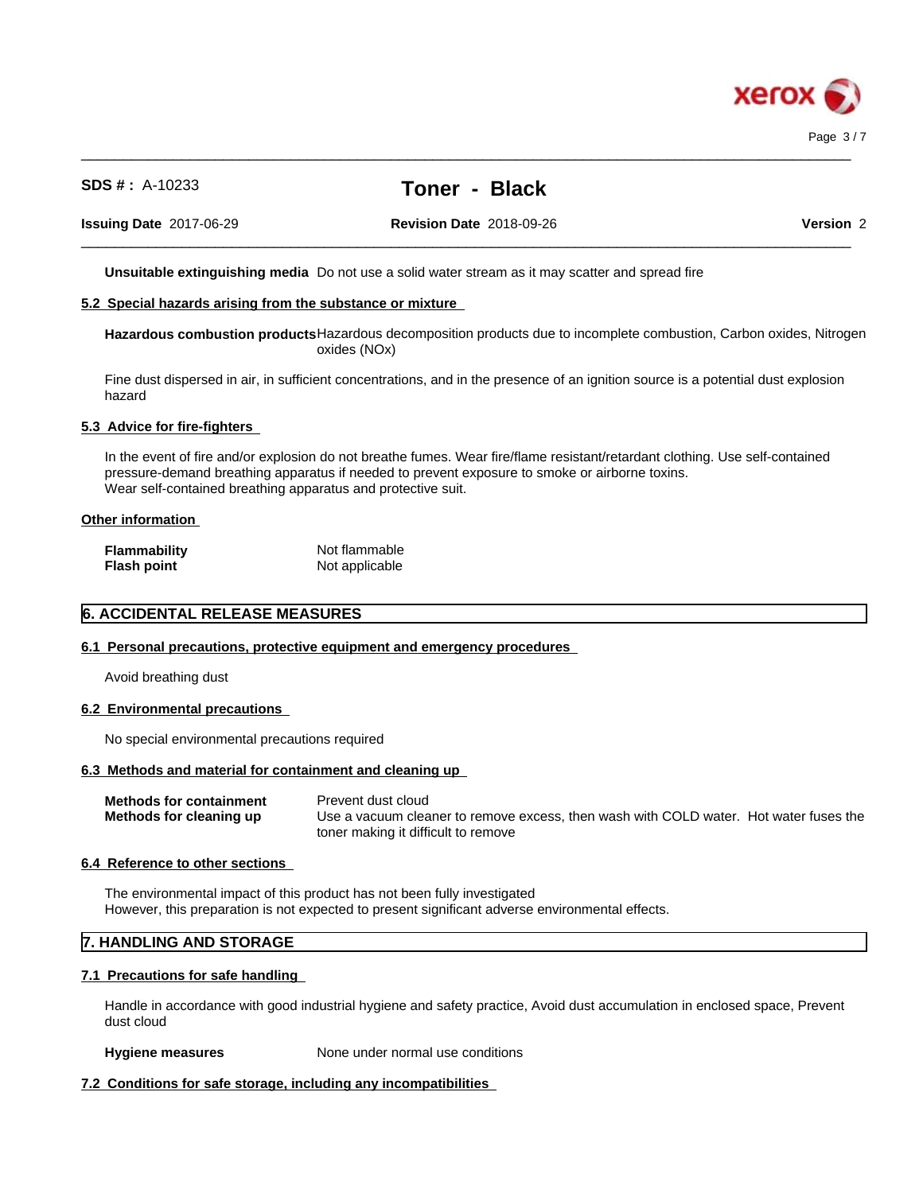

# **SDS # :** A-10233 **Toner - Black**

 $\_$  ,  $\_$  ,  $\_$  ,  $\_$  ,  $\_$  ,  $\_$  ,  $\_$  ,  $\_$  ,  $\_$  ,  $\_$  ,  $\_$  ,  $\_$  ,  $\_$  ,  $\_$  ,  $\_$  ,  $\_$  ,  $\_$  ,  $\_$  ,  $\_$  ,  $\_$  ,  $\_$  ,  $\_$  ,  $\_$  ,  $\_$  ,  $\_$  ,  $\_$  ,  $\_$  ,  $\_$  ,  $\_$  ,  $\_$  ,  $\_$  ,  $\_$  ,  $\_$  ,  $\_$  ,  $\_$  ,  $\_$  ,  $\_$  ,

 $\_$  ,  $\_$  ,  $\_$  ,  $\_$  ,  $\_$  ,  $\_$  ,  $\_$  ,  $\_$  ,  $\_$  ,  $\_$  ,  $\_$  ,  $\_$  ,  $\_$  ,  $\_$  ,  $\_$  ,  $\_$  ,  $\_$  ,  $\_$  ,  $\_$  ,  $\_$  ,  $\_$  ,  $\_$  ,  $\_$  ,  $\_$  ,  $\_$  ,  $\_$  ,  $\_$  ,  $\_$  ,  $\_$  ,  $\_$  ,  $\_$  ,  $\_$  ,  $\_$  ,  $\_$  ,  $\_$  ,  $\_$  ,  $\_$  ,

**Issuing Date** 2017-06-29 **Revision Date** 2018-09-26 **Version** 2

**Unsuitable extinguishing media** Do not use a solid water stream as it may scatterand spread fire

### **5.2 Special hazards arising from the substance or mixture**

**Hazardous combustion products**Hazardous decomposition products due to incomplete combustion, Carbon oxides, Nitrogen oxides (NOx)

Fine dust dispersed in air, in sufficient concentrations, and in the presence of an ignition source is a potential dust explosion hazard

### **5.3 Advice for fire-fighters**

In the event of fire and/or explosion do not breathe fumes. Wear fire/flame resistant/retardant clothing. Use self-contained pressure-demand breathing apparatus if needed to prevent exposure to smoke or airborne toxins. Wear self-contained breathing apparatus and protective suit.

#### **Other information**

| <b>Flammability</b> | Not flammable  |
|---------------------|----------------|
| <b>Flash point</b>  | Not applicable |

### **6. ACCIDENTAL RELEASE MEASURES**

#### **6.1 Personal precautions, protective equipment and emergency procedures**

Avoid breathing dust

#### **6.2 Environmental precautions**

No special environmental precautions required

### **6.3 Methods and material for containment and cleaning up**

| <b>Methods for containment</b> | Prevent dust cloud                                                                    |
|--------------------------------|---------------------------------------------------------------------------------------|
| Methods for cleaning up        | Use a vacuum cleaner to remove excess, then wash with COLD water. Hot water fuses the |
|                                | toner making it difficult to remove                                                   |

#### **6.4 Reference to other sections**

The environmental impact of this product has not been fully investigated However, this preparation is not expected to present significant adverse environmental effects.

### **7. HANDLING AND STORAGE**

### **7.1 Precautions for safe handling**

Handle in accordance with good industrial hygiene and safety practice, Avoid dust accumulation in enclosed space, Prevent dust cloud

#### **Hygiene measures** None under normal use conditions

### **7.2 Conditions for safe storage, including any incompatibilities**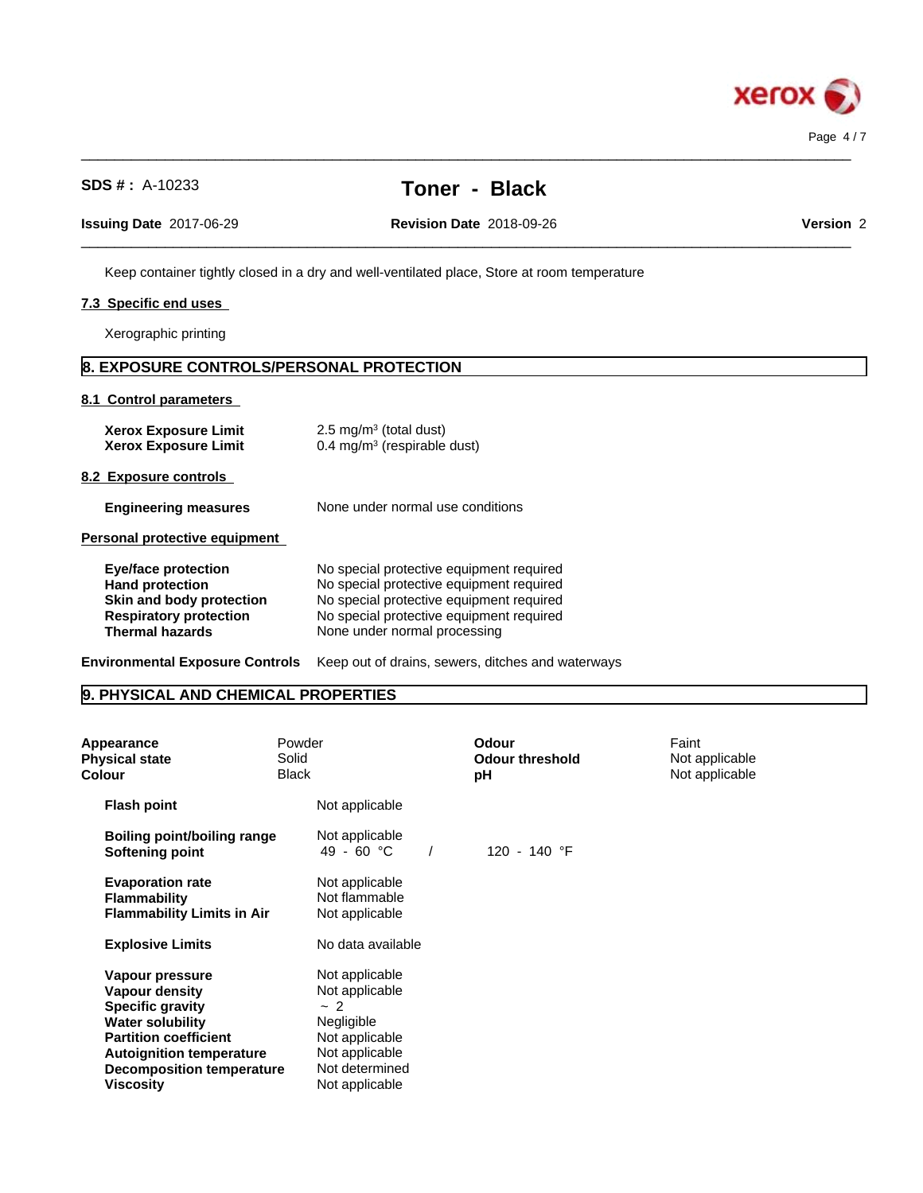

| <b>SDS #: A-10233</b>                                      | Toner - Black                                                                               |           |
|------------------------------------------------------------|---------------------------------------------------------------------------------------------|-----------|
| <b>Issuing Date 2017-06-29</b>                             | <b>Revision Date 2018-09-26</b>                                                             | Version 2 |
|                                                            | Keep container tightly closed in a dry and well-ventilated place, Store at room temperature |           |
| 7.3 Specific end uses                                      |                                                                                             |           |
| Xerographic printing                                       |                                                                                             |           |
| 8. EXPOSURE CONTROLS/PERSONAL PROTECTION                   |                                                                                             |           |
| 8.1 Control parameters                                     |                                                                                             |           |
| <b>Xerox Exposure Limit</b><br><b>Xerox Exposure Limit</b> | 2.5 mg/m <sup>3</sup> (total dust)<br>0.4 mg/m <sup>3</sup> (respirable dust)               |           |
| 8.2 Exposure controls                                      |                                                                                             |           |
| <b>Engineering measures</b>                                | None under normal use conditions                                                            |           |
| Personal protective equipment                              |                                                                                             |           |
| <b>Eye/face protection</b>                                 | No special protective equipment required                                                    |           |

 $\_$  ,  $\_$  ,  $\_$  ,  $\_$  ,  $\_$  ,  $\_$  ,  $\_$  ,  $\_$  ,  $\_$  ,  $\_$  ,  $\_$  ,  $\_$  ,  $\_$  ,  $\_$  ,  $\_$  ,  $\_$  ,  $\_$  ,  $\_$  ,  $\_$  ,  $\_$  ,  $\_$  ,  $\_$  ,  $\_$  ,  $\_$  ,  $\_$  ,  $\_$  ,  $\_$  ,  $\_$  ,  $\_$  ,  $\_$  ,  $\_$  ,  $\_$  ,  $\_$  ,  $\_$  ,  $\_$  ,  $\_$  ,  $\_$  ,

| No special protective equipment required |  |
|------------------------------------------|--|
| No special protective equipment required |  |
| No special protective equipment required |  |
| No special protective equipment required |  |
| None under normal processing             |  |
|                                          |  |

**Environmental Exposure Controls** Keep out of drains, sewers, ditches and waterways

# **9. PHYSICAL AND CHEMICAL PROPERTIES**

| Appearance<br><b>Physical state</b><br>Colour                                                                                                                                                                             | Powder<br>Solid<br><b>Black</b> |                                                                                                                              | Odour<br><b>Odour threshold</b><br>рH | Faint<br>Not applicable<br>Not applicable |
|---------------------------------------------------------------------------------------------------------------------------------------------------------------------------------------------------------------------------|---------------------------------|------------------------------------------------------------------------------------------------------------------------------|---------------------------------------|-------------------------------------------|
| <b>Flash point</b>                                                                                                                                                                                                        |                                 | Not applicable                                                                                                               |                                       |                                           |
| Boiling point/boiling range<br>Softening point                                                                                                                                                                            |                                 | Not applicable<br>49 - 60 °C                                                                                                 | 120 - 140 °F                          |                                           |
| <b>Evaporation rate</b><br><b>Flammability</b><br><b>Flammability Limits in Air</b>                                                                                                                                       |                                 | Not applicable<br>Not flammable<br>Not applicable                                                                            |                                       |                                           |
| <b>Explosive Limits</b>                                                                                                                                                                                                   |                                 | No data available                                                                                                            |                                       |                                           |
| Vapour pressure<br><b>Vapour density</b><br><b>Specific gravity</b><br><b>Water solubility</b><br><b>Partition coefficient</b><br><b>Autoignition temperature</b><br><b>Decomposition temperature</b><br><b>Viscosity</b> |                                 | Not applicable<br>Not applicable<br>~2<br>Negligible<br>Not applicable<br>Not applicable<br>Not determined<br>Not applicable |                                       |                                           |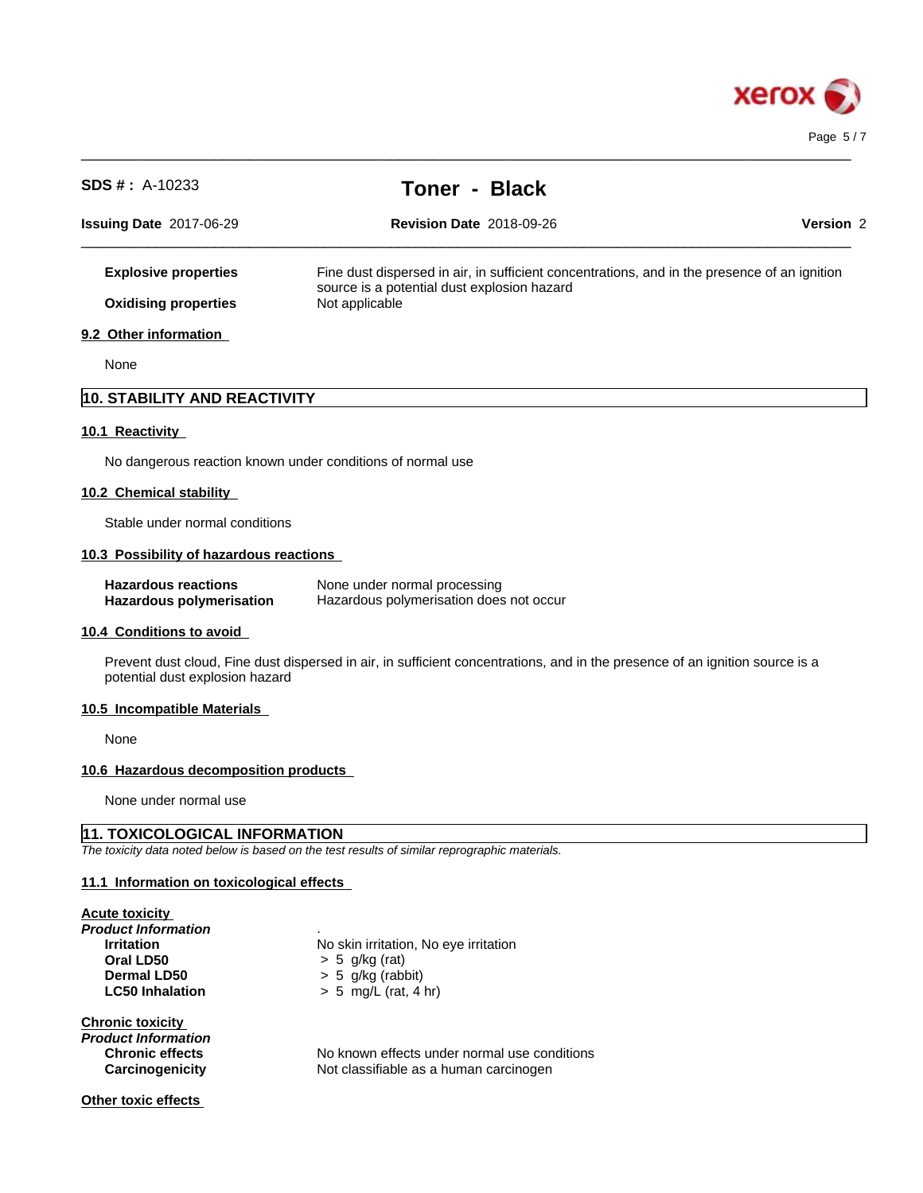

| <b>SDS #: A-10233</b>                                         | <b>Toner - Black</b>                                                                                                         |           |
|---------------------------------------------------------------|------------------------------------------------------------------------------------------------------------------------------|-----------|
| Issuing Date 2017-06-29                                       | <b>Revision Date 2018-09-26</b>                                                                                              | Version 2 |
| <b>Explosive properties</b>                                   | Fine dust dispersed in air, in sufficient concentrations, and in the presence of an ignition                                 |           |
| <b>Oxidising properties</b>                                   | source is a potential dust explosion hazard<br>Not applicable                                                                |           |
| 9.2 Other information                                         |                                                                                                                              |           |
| None                                                          |                                                                                                                              |           |
| 10. STABILITY AND REACTIVITY                                  |                                                                                                                              |           |
| 10.1 Reactivity                                               |                                                                                                                              |           |
| No dangerous reaction known under conditions of normal use    |                                                                                                                              |           |
| 10.2 Chemical stability                                       |                                                                                                                              |           |
| Stable under normal conditions                                |                                                                                                                              |           |
| 10.3 Possibility of hazardous reactions                       |                                                                                                                              |           |
| <b>Hazardous reactions</b><br><b>Hazardous polymerisation</b> | None under normal processing<br>Hazardous polymerisation does not occur                                                      |           |
| 10.4 Conditions to avoid                                      |                                                                                                                              |           |
| potential dust explosion hazard                               | Prevent dust cloud, Fine dust dispersed in air, in sufficient concentrations, and in the presence of an ignition source is a |           |
| 10.5 Incompatible Materials                                   |                                                                                                                              |           |
| None                                                          |                                                                                                                              |           |
| 10.6 Hazardous decomposition products                         |                                                                                                                              |           |

 $\_$  ,  $\_$  ,  $\_$  ,  $\_$  ,  $\_$  ,  $\_$  ,  $\_$  ,  $\_$  ,  $\_$  ,  $\_$  ,  $\_$  ,  $\_$  ,  $\_$  ,  $\_$  ,  $\_$  ,  $\_$  ,  $\_$  ,  $\_$  ,  $\_$  ,  $\_$  ,  $\_$  ,  $\_$  ,  $\_$  ,  $\_$  ,  $\_$  ,  $\_$  ,  $\_$  ,  $\_$  ,  $\_$  ,  $\_$  ,  $\_$  ,  $\_$  ,  $\_$  ,  $\_$  ,  $\_$  ,  $\_$  ,  $\_$  ,

None under normal use

### **11. TOXICOLOGICAL INFORMATION**

*The toxicity data noted below is based on the test results of similar reprographic materials.*

### **11.1 Information on toxicologicaleffects**

|  | <b>Acute toxicity</b> |  |  |
|--|-----------------------|--|--|
|  |                       |  |  |

*Product Information* . **Oral LD50**  $\rightarrow$  5 g/kg (rat)<br>**Dermal LD50**  $\rightarrow$  5 g/kg (rab) **Dermal LD50**  $\rightarrow$  5 g/kg (rabbit)<br>**LC50 Inhalation**  $\rightarrow$  5 mg/L (rat, 4

**Irritation** No skin irritation, No eye irritation **LC50 Inhalation** > 5 mg/L (rat, 4 hr)

### **Chronic toxicity**

*Product Information*

No known effects under normal use conditions **Carcinogenicity** Not classifiable as a human carcinogen

### **Other toxic effects**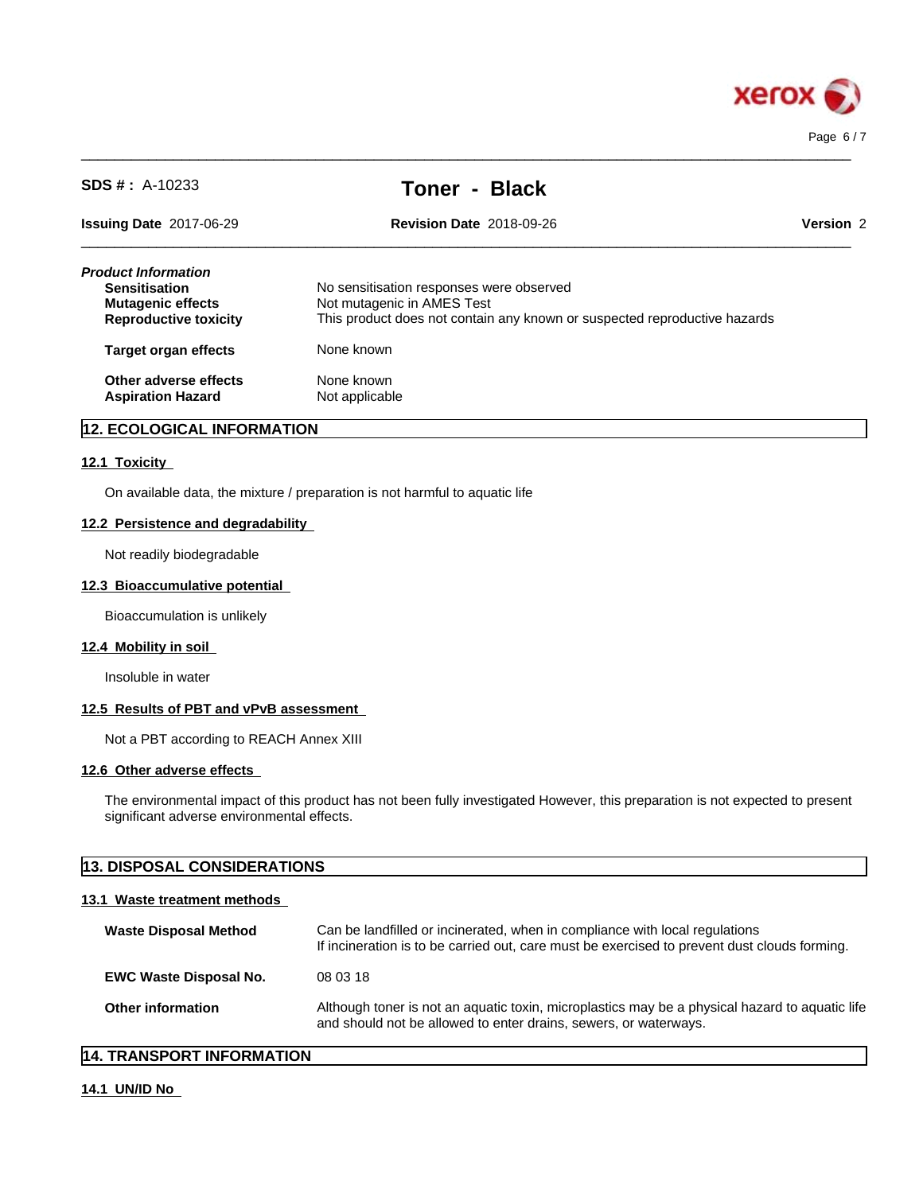

| <b>SDS #</b> : $A-10233$                                                                                | <b>Toner - Black</b>                                                                                                                                |           |
|---------------------------------------------------------------------------------------------------------|-----------------------------------------------------------------------------------------------------------------------------------------------------|-----------|
| <b>Issuing Date 2017-06-29</b>                                                                          | <b>Revision Date 2018-09-26</b>                                                                                                                     | Version 2 |
| Product Information<br><b>Sensitisation</b><br><b>Mutagenic effects</b><br><b>Reproductive toxicity</b> | No sensitisation responses were observed<br>Not mutagenic in AMES Test<br>This product does not contain any known or suspected reproductive hazards |           |
| <b>Target organ effects</b>                                                                             | None known                                                                                                                                          |           |
| Other adverse effects<br><b>Aspiration Hazard</b>                                                       | None known<br>Not applicable                                                                                                                        |           |

 $\_$  ,  $\_$  ,  $\_$  ,  $\_$  ,  $\_$  ,  $\_$  ,  $\_$  ,  $\_$  ,  $\_$  ,  $\_$  ,  $\_$  ,  $\_$  ,  $\_$  ,  $\_$  ,  $\_$  ,  $\_$  ,  $\_$  ,  $\_$  ,  $\_$  ,  $\_$  ,  $\_$  ,  $\_$  ,  $\_$  ,  $\_$  ,  $\_$  ,  $\_$  ,  $\_$  ,  $\_$  ,  $\_$  ,  $\_$  ,  $\_$  ,  $\_$  ,  $\_$  ,  $\_$  ,  $\_$  ,  $\_$  ,  $\_$  ,

### **12. ECOLOGICAL INFORMATION**

### **12.1 Toxicity**

On available data, the mixture / preparation is not harmful to aquatic life

### **12.2 Persistence and degradability**

Not readily biodegradable

### **12.3 Bioaccumulative potential**

Bioaccumulation is unlikely

### **12.4 Mobility in soil**

Insoluble in water

### **12.5 Results of PBT and vPvB assessment**

Not a PBT according to REACH Annex XIII

### **12.6 Other adverse effects**

The environmental impact of this product has not been fully investigated However, this preparation is not expected to present significant adverse environmental effects.

## **13. DISPOSAL CONSIDERATIONS**

### **13.1 Waste treatment methods**

| <b>Waste Disposal Method</b>  | Can be landfilled or incinerated, when in compliance with local regulations<br>If incineration is to be carried out, care must be exercised to prevent dust clouds forming. |  |
|-------------------------------|-----------------------------------------------------------------------------------------------------------------------------------------------------------------------------|--|
| <b>EWC Waste Disposal No.</b> | 08 03 18                                                                                                                                                                    |  |
| <b>Other information</b>      | Although toner is not an aquatic toxin, microplastics may be a physical hazard to aquatic life<br>and should not be allowed to enter drains, sewers, or waterways.          |  |

### **14. TRANSPORT INFORMATION**

### **14.1 UN/ID No**